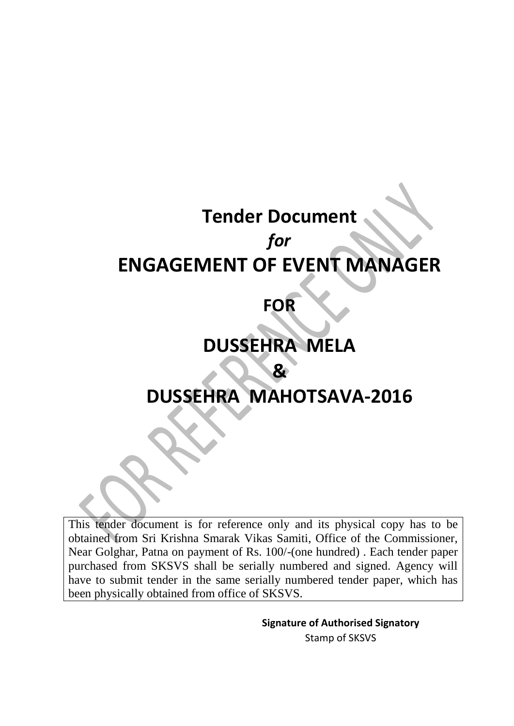# **Tender Document** *for*  **ENGAGEMENT OF EVENT MANAGER**

## **FOR**

## **DUSSEHRA MELA**

## **DUSSEHRA MAHOTSAVA-2016**

**&** 

This tender document is for reference only and its physical copy has to be obtained from Sri Krishna Smarak Vikas Samiti, Office of the Commissioner, Near Golghar, Patna on payment of Rs. 100/-(one hundred) . Each tender paper purchased from SKSVS shall be serially numbered and signed. Agency will have to submit tender in the same serially numbered tender paper, which has been physically obtained from office of SKSVS.

> **Signature of Authorised Signatory** Stamp of SKSVS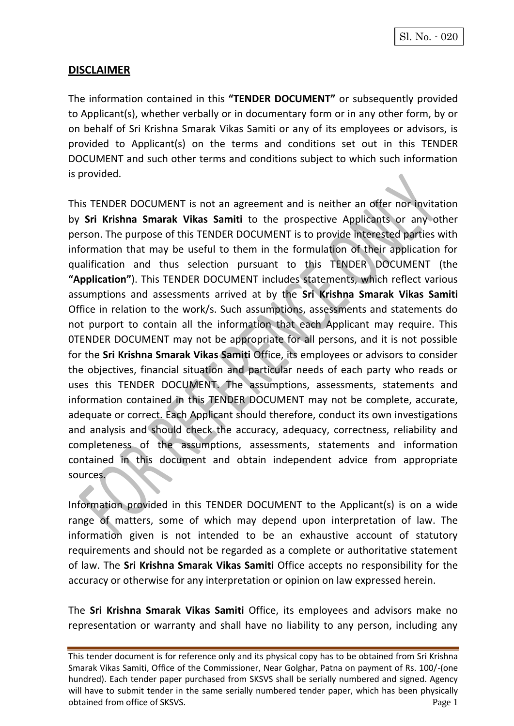## **DISCLAIMER**

The information contained in this **"TENDER DOCUMENT"** or subsequently provided to Applicant(s), whether verbally or in documentary form or in any other form, by or on behalf of Sri Krishna Smarak Vikas Samiti or any of its employees or advisors, is provided to Applicant(s) on the terms and conditions set out in this TENDER DOCUMENT and such other terms and conditions subject to which such information is provided.

This TENDER DOCUMENT is not an agreement and is neither an offer nor invitation by **Sri Krishna Smarak Vikas Samiti** to the prospective Applicants or any other person. The purpose of this TENDER DOCUMENT is to provide interested parties with information that may be useful to them in the formulation of their application for qualification and thus selection pursuant to this TENDER DOCUMENT (the **"Application"**). This TENDER DOCUMENT includes statements, which reflect various assumptions and assessments arrived at by the **Sri Krishna Smarak Vikas Samiti** Office in relation to the work/s. Such assumptions, assessments and statements do not purport to contain all the information that each Applicant may require. This 0TENDER DOCUMENT may not be appropriate for all persons, and it is not possible for the **Sri Krishna Smarak Vikas Samiti** Office, its employees or advisors to consider the objectives, financial situation and particular needs of each party who reads or uses this TENDER DOCUMENT. The assumptions, assessments, statements and information contained in this TENDER DOCUMENT may not be complete, accurate, adequate or correct. Each Applicant should therefore, conduct its own investigations and analysis and should check the accuracy, adequacy, correctness, reliability and completeness of the assumptions, assessments, statements and information contained in this document and obtain independent advice from appropriate sources.

Information provided in this TENDER DOCUMENT to the Applicant(s) is on a wide range of matters, some of which may depend upon interpretation of law. The information given is not intended to be an exhaustive account of statutory requirements and should not be regarded as a complete or authoritative statement of law. The **Sri Krishna Smarak Vikas Samiti** Office accepts no responsibility for the accuracy or otherwise for any interpretation or opinion on law expressed herein.

The **Sri Krishna Smarak Vikas Samiti** Office, its employees and advisors make no representation or warranty and shall have no liability to any person, including any

This tender document is for reference only and its physical copy has to be obtained from Sri Krishna Smarak Vikas Samiti, Office of the Commissioner, Near Golghar, Patna on payment of Rs. 100/-(one hundred). Each tender paper purchased from SKSVS shall be serially numbered and signed. Agency will have to submit tender in the same serially numbered tender paper, which has been physically obtained from office of SKSVS. Page 1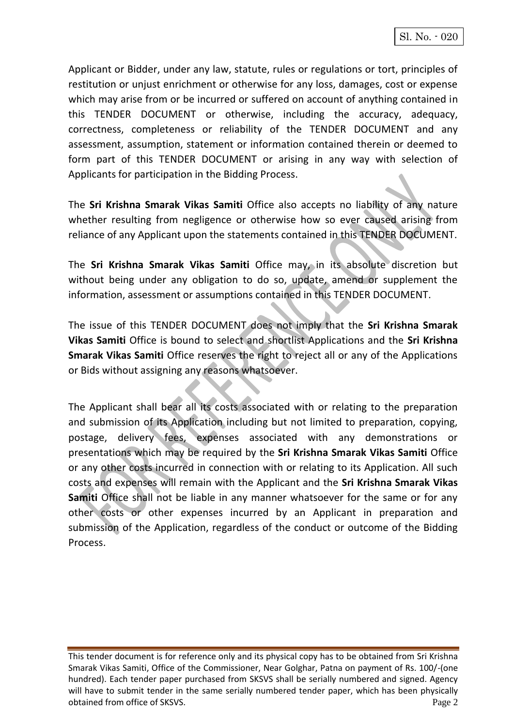Applicant or Bidder, under any law, statute, rules or regulations or tort, principles of restitution or unjust enrichment or otherwise for any loss, damages, cost or expense which may arise from or be incurred or suffered on account of anything contained in this TENDER DOCUMENT or otherwise, including the accuracy, adequacy, correctness, completeness or reliability of the TENDER DOCUMENT and any assessment, assumption, statement or information contained therein or deemed to form part of this TENDER DOCUMENT or arising in any way with selection of Applicants for participation in the Bidding Process.

The **Sri Krishna Smarak Vikas Samiti** Office also accepts no liability of any nature whether resulting from negligence or otherwise how so ever caused arising from reliance of any Applicant upon the statements contained in this TENDER DOCUMENT.

The **Sri Krishna Smarak Vikas Samiti** Office may, in its absolute discretion but without being under any obligation to do so, update, amend or supplement the information, assessment or assumptions contained in this TENDER DOCUMENT.

The issue of this TENDER DOCUMENT does not imply that the **Sri Krishna Smarak Vikas Samiti** Office is bound to select and shortlist Applications and the **Sri Krishna Smarak Vikas Samiti** Office reserves the right to reject all or any of the Applications or Bids without assigning any reasons whatsoever.

The Applicant shall bear all its costs associated with or relating to the preparation and submission of its Application including but not limited to preparation, copying, postage, delivery fees, expenses associated with any demonstrations or presentations which may be required by the **Sri Krishna Smarak Vikas Samiti** Office or any other costs incurred in connection with or relating to its Application. All such costs and expenses will remain with the Applicant and the **Sri Krishna Smarak Vikas Samiti** Office shall not be liable in any manner whatsoever for the same or for any other costs or other expenses incurred by an Applicant in preparation and submission of the Application, regardless of the conduct or outcome of the Bidding Process.

This tender document is for reference only and its physical copy has to be obtained from Sri Krishna Smarak Vikas Samiti, Office of the Commissioner, Near Golghar, Patna on payment of Rs. 100/-(one hundred). Each tender paper purchased from SKSVS shall be serially numbered and signed. Agency will have to submit tender in the same serially numbered tender paper, which has been physically obtained from office of SKSVS. Page 2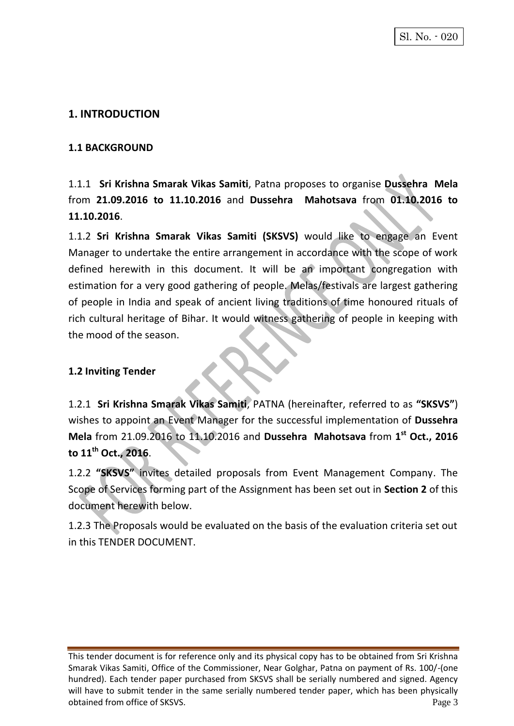## **1. INTRODUCTION**

#### **1.1 BACKGROUND**

1.1.1 **Sri Krishna Smarak Vikas Samiti**, Patna proposes to organise **Dussehra Mela** from **21.09.2016 to 11.10.2016** and **Dussehra Mahotsava** from **01.10.2016 to 11.10.2016**.

1.1.2 **Sri Krishna Smarak Vikas Samiti (SKSVS)** would like to engage an Event Manager to undertake the entire arrangement in accordance with the scope of work defined herewith in this document. It will be an important congregation with estimation for a very good gathering of people. Melas/festivals are largest gathering of people in India and speak of ancient living traditions of time honoured rituals of rich cultural heritage of Bihar. It would witness gathering of people in keeping with the mood of the season.

## **1.2 Inviting Tender**

1.2.1 **Sri Krishna Smarak Vikas Samiti**, PATNA (hereinafter, referred to as **"SKSVS"**) wishes to appoint an Event Manager for the successful implementation of **Dussehra Mela** from 21.09.2016 to 11.10.2016 and Dussehra Mahotsava from 1<sup>st</sup> Oct., 2016 **to 11th Oct., 2016**.

1.2.2 **"SKSVS"** invites detailed proposals from Event Management Company. The Scope of Services forming part of the Assignment has been set out in **Section 2** of this document herewith below.

1.2.3 The Proposals would be evaluated on the basis of the evaluation criteria set out in this TENDER DOCUMENT.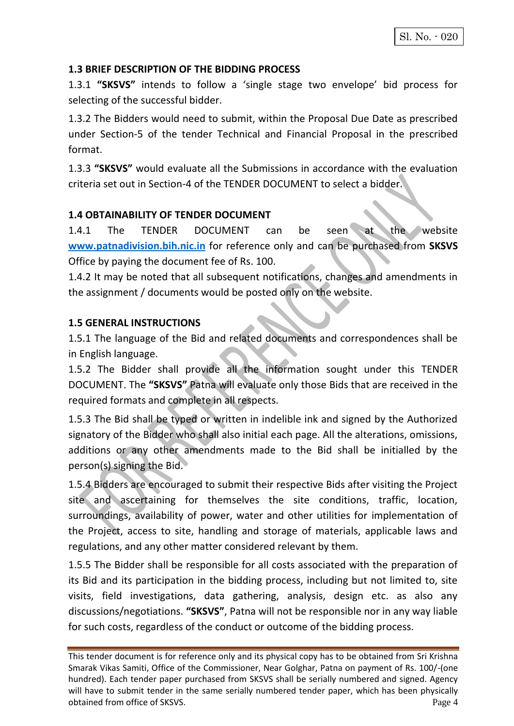#### **1.3 BRIEF DESCRIPTION OF THE BIDDING PROCESS**

1.3.1 **"SKSVS"** intends to follow a 'single stage two envelope' bid process for selecting of the successful bidder.

1.3.2 The Bidders would need to submit, within the Proposal Due Date as prescribed under Section-5 of the tender Technical and Financial Proposal in the prescribed format.

1.3.3 **"SKSVS"** would evaluate all the Submissions in accordance with the evaluation criteria set out in Section-4 of the TENDER DOCUMENT to select a bidder.

#### **1.4 OBTAINABILITY OF TENDER DOCUMENT**

1.4.1 The TENDER DOCUMENT can be seen at the website **[www.patnadivision.bih.nic.in](http://www.patnadivision.bih.nic.in/)** for reference only and can be purchased from **SKSVS** Office by paying the document fee of Rs. 100.

1.4.2 It may be noted that all subsequent notifications, changes and amendments in the assignment / documents would be posted only on the website.

#### **1.5 GENERAL INSTRUCTIONS**

1.5.1 The language of the Bid and related documents and correspondences shall be in English language.

1.5.2 The Bidder shall provide all the information sought under this TENDER DOCUMENT. The **"SKSVS"** Patna will evaluate only those Bids that are received in the required formats and complete in all respects.

1.5.3 The Bid shall be typed or written in indelible ink and signed by the Authorized signatory of the Bidder who shall also initial each page. All the alterations, omissions, additions or any other amendments made to the Bid shall be initialled by the person(s) signing the Bid.

1.5.4 Bidders are encouraged to submit their respective Bids after visiting the Project site and ascertaining for themselves the site conditions, traffic, location, surroundings, availability of power, water and other utilities for implementation of the Project, access to site, handling and storage of materials, applicable laws and regulations, and any other matter considered relevant by them.

1.5.5 The Bidder shall be responsible for all costs associated with the preparation of its Bid and its participation in the bidding process, including but not limited to, site visits, field investigations, data gathering, analysis, design etc. as also any discussions/negotiations. **"SKSVS"**, Patna will not be responsible nor in any way liable for such costs, regardless of the conduct or outcome of the bidding process.

This tender document is for reference only and its physical copy has to be obtained from Sri Krishna Smarak Vikas Samiti, Office of the Commissioner, Near Golghar, Patna on payment of Rs. 100/-(one hundred). Each tender paper purchased from SKSVS shall be serially numbered and signed. Agency will have to submit tender in the same serially numbered tender paper, which has been physically obtained from office of SKSVS. Page 4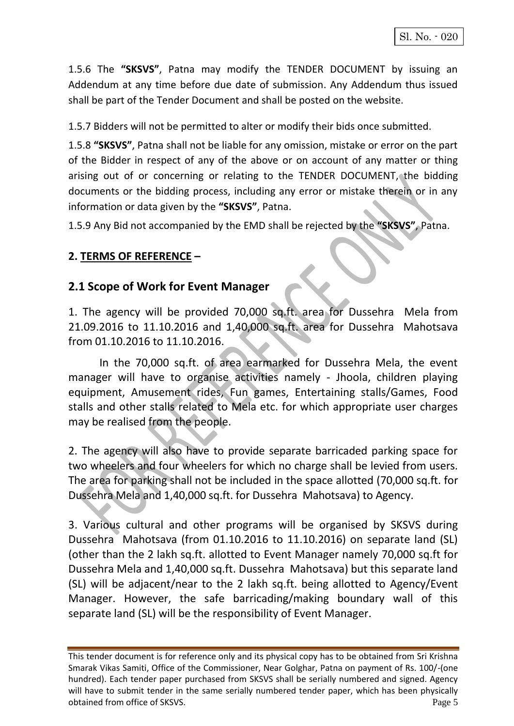1.5.6 The **"SKSVS"**, Patna may modify the TENDER DOCUMENT by issuing an Addendum at any time before due date of submission. Any Addendum thus issued shall be part of the Tender Document and shall be posted on the website.

1.5.7 Bidders will not be permitted to alter or modify their bids once submitted.

1.5.8 **"SKSVS"**, Patna shall not be liable for any omission, mistake or error on the part of the Bidder in respect of any of the above or on account of any matter or thing arising out of or concerning or relating to the TENDER DOCUMENT, the bidding documents or the bidding process, including any error or mistake therein or in any information or data given by the **"SKSVS"**, Patna.

1.5.9 Any Bid not accompanied by the EMD shall be rejected by the **"SKSVS"**, Patna.

## **2. TERMS OF REFERENCE –**

## **2.1 Scope of Work for Event Manager**

1. The agency will be provided 70,000 sq.ft. area for Dussehra Mela from 21.09.2016 to 11.10.2016 and 1,40,000 sq.ft. area for Dussehra Mahotsava from 01.10.2016 to 11.10.2016.

In the 70,000 sq.ft. of area earmarked for Dussehra Mela, the event manager will have to organise activities namely - Jhoola, children playing equipment, Amusement rides, Fun games, Entertaining stalls/Games, Food stalls and other stalls related to Mela etc. for which appropriate user charges may be realised from the people.

2. The agency will also have to provide separate barricaded parking space for two wheelers and four wheelers for which no charge shall be levied from users. The area for parking shall not be included in the space allotted (70,000 sq.ft. for Dussehra Mela and 1,40,000 sq.ft. for Dussehra Mahotsava) to Agency.

3. Various cultural and other programs will be organised by SKSVS during Dussehra Mahotsava (from 01.10.2016 to 11.10.2016) on separate land (SL) (other than the 2 lakh sq.ft. allotted to Event Manager namely 70,000 sq.ft for Dussehra Mela and 1,40,000 sq.ft. Dussehra Mahotsava) but this separate land (SL) will be adjacent/near to the 2 lakh sq.ft. being allotted to Agency/Event Manager. However, the safe barricading/making boundary wall of this separate land (SL) will be the responsibility of Event Manager.

This tender document is for reference only and its physical copy has to be obtained from Sri Krishna Smarak Vikas Samiti, Office of the Commissioner, Near Golghar, Patna on payment of Rs. 100/-(one hundred). Each tender paper purchased from SKSVS shall be serially numbered and signed. Agency will have to submit tender in the same serially numbered tender paper, which has been physically obtained from office of SKSVS. Page 5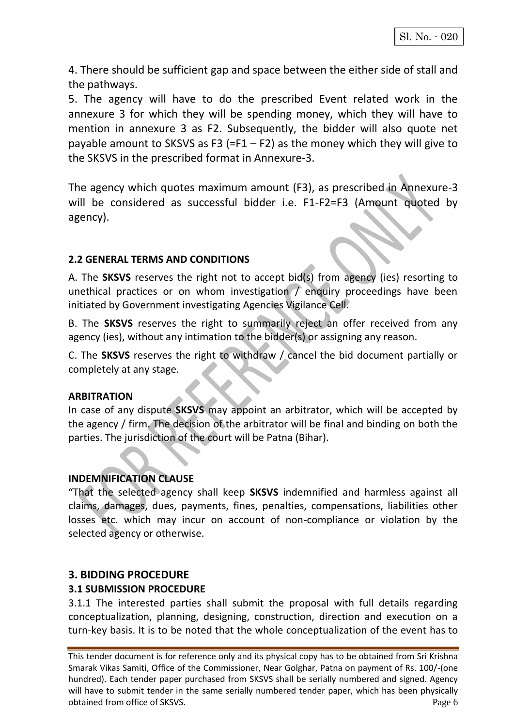4. There should be sufficient gap and space between the either side of stall and the pathways.

5. The agency will have to do the prescribed Event related work in the annexure 3 for which they will be spending money, which they will have to mention in annexure 3 as F2. Subsequently, the bidder will also quote net payable amount to SKSVS as F3 (=F1 – F2) as the money which they will give to the SKSVS in the prescribed format in Annexure-3.

The agency which quotes maximum amount (F3), as prescribed in Annexure-3 will be considered as successful bidder i.e. F1-F2=F3 (Amount quoted by agency).

## **2.2 GENERAL TERMS AND CONDITIONS**

A. The **SKSVS** reserves the right not to accept bid(s) from agency (ies) resorting to unethical practices or on whom investigation / enquiry proceedings have been initiated by Government investigating Agencies Vigilance Cell.

B. The **SKSVS** reserves the right to summarily reject an offer received from any agency (ies), without any intimation to the bidder(s) or assigning any reason.

C. The **SKSVS** reserves the right to withdraw / cancel the bid document partially or completely at any stage.

## **ARBITRATION**

In case of any dispute **SKSVS** may appoint an arbitrator, which will be accepted by the agency / firm. The decision of the arbitrator will be final and binding on both the parties. The jurisdiction of the court will be Patna (Bihar).

## **INDEMNIFICATION CLAUSE**

"That the selected agency shall keep **SKSVS** indemnified and harmless against all claims, damages, dues, payments, fines, penalties, compensations, liabilities other losses etc. which may incur on account of non-compliance or violation by the selected agency or otherwise.

## **3. BIDDING PROCEDURE**

## **3.1 SUBMISSION PROCEDURE**

3.1.1 The interested parties shall submit the proposal with full details regarding conceptualization, planning, designing, construction, direction and execution on a turn-key basis. It is to be noted that the whole conceptualization of the event has to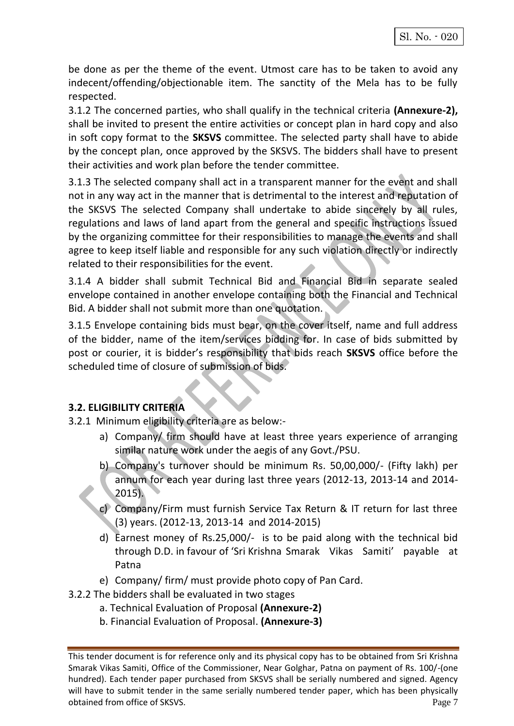be done as per the theme of the event. Utmost care has to be taken to avoid any indecent/offending/objectionable item. The sanctity of the Mela has to be fully respected.

3.1.2 The concerned parties, who shall qualify in the technical criteria **(Annexure-2),**  shall be invited to present the entire activities or concept plan in hard copy and also in soft copy format to the **SKSVS** committee. The selected party shall have to abide by the concept plan, once approved by the SKSVS. The bidders shall have to present their activities and work plan before the tender committee.

3.1.3 The selected company shall act in a transparent manner for the event and shall not in any way act in the manner that is detrimental to the interest and reputation of the SKSVS The selected Company shall undertake to abide sincerely by all rules, regulations and laws of land apart from the general and specific instructions issued by the organizing committee for their responsibilities to manage the events and shall agree to keep itself liable and responsible for any such violation directly or indirectly related to their responsibilities for the event.

3.1.4 A bidder shall submit Technical Bid and Financial Bid in separate sealed envelope contained in another envelope containing both the Financial and Technical Bid. A bidder shall not submit more than one quotation.

3.1.5 Envelope containing bids must bear, on the cover itself, name and full address of the bidder, name of the item/services bidding for. In case of bids submitted by post or courier, it is bidder's responsibility that bids reach **SKSVS** office before the scheduled time of closure of submission of bids.

## **3.2. ELIGIBILITY CRITERIA**

- 3.2.1 Minimum eligibility criteria are as below:
	- a) Company/ firm should have at least three years experience of arranging similar nature work under the aegis of any Govt./PSU.
	- b) Company's turnover should be minimum Rs. 50,00,000/- (Fifty lakh) per annum for each year during last three years (2012-13, 2013-14 and 2014- 2015).
	- c) Company/Firm must furnish Service Tax Return & IT return for last three (3) years. (2012-13, 2013-14 and 2014-2015)
	- d) Earnest money of Rs.25,000/- is to be paid along with the technical bid through D.D. in favour of 'Sri Krishna Smarak Vikas Samiti' payable at Patna
	- e) Company/ firm/ must provide photo copy of Pan Card.
- 3.2.2 The bidders shall be evaluated in two stages
	- a. Technical Evaluation of Proposal **(Annexure-2)**
	- b. Financial Evaluation of Proposal. **(Annexure-3)**

This tender document is for reference only and its physical copy has to be obtained from Sri Krishna Smarak Vikas Samiti, Office of the Commissioner, Near Golghar, Patna on payment of Rs. 100/-(one hundred). Each tender paper purchased from SKSVS shall be serially numbered and signed. Agency will have to submit tender in the same serially numbered tender paper, which has been physically obtained from office of SKSVS. Page 7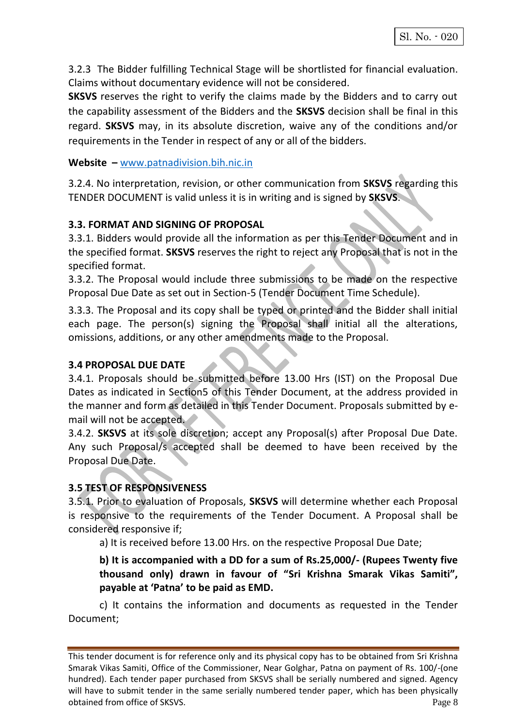3.2.3 The Bidder fulfilling Technical Stage will be shortlisted for financial evaluation. Claims without documentary evidence will not be considered.

**SKSVS** reserves the right to verify the claims made by the Bidders and to carry out the capability assessment of the Bidders and the **SKSVS** decision shall be final in this regard. **SKSVS** may, in its absolute discretion, waive any of the conditions and/or requirements in the Tender in respect of any or all of the bidders.

#### **Website –** [www.patnadivision.bih.nic.in](http://www.patnadivision.bih.nic.in/)

3.2.4. No interpretation, revision, or other communication from **SKSVS** regarding this TENDER DOCUMENT is valid unless it is in writing and is signed by **SKSVS**.

## **3.3. FORMAT AND SIGNING OF PROPOSAL**

3.3.1. Bidders would provide all the information as per this Tender Document and in the specified format. **SKSVS** reserves the right to reject any Proposal that is not in the specified format.

3.3.2. The Proposal would include three submissions to be made on the respective Proposal Due Date as set out in Section-5 (Tender Document Time Schedule).

3.3.3. The Proposal and its copy shall be typed or printed and the Bidder shall initial each page. The person(s) signing the Proposal shall initial all the alterations, omissions, additions, or any other amendments made to the Proposal.

#### **3.4 PROPOSAL DUE DATE**

3.4.1. Proposals should be submitted before 13.00 Hrs (IST) on the Proposal Due Dates as indicated in Section5 of this Tender Document, at the address provided in the manner and form as detailed in this Tender Document. Proposals submitted by email will not be accepted.

3.4.2. **SKSVS** at its sole discretion; accept any Proposal(s) after Proposal Due Date. Any such Proposal/s accepted shall be deemed to have been received by the Proposal Due Date.

## **3.5 TEST OF RESPONSIVENESS**

3.5.1. Prior to evaluation of Proposals, **SKSVS** will determine whether each Proposal is responsive to the requirements of the Tender Document. A Proposal shall be considered responsive if;

a) It is received before 13.00 Hrs. on the respective Proposal Due Date;

**b) It is accompanied with a DD for a sum of Rs.25,000/- (Rupees Twenty five thousand only) drawn in favour of "Sri Krishna Smarak Vikas Samiti", payable at 'Patna' to be paid as EMD.** 

c) It contains the information and documents as requested in the Tender Document;

This tender document is for reference only and its physical copy has to be obtained from Sri Krishna Smarak Vikas Samiti, Office of the Commissioner, Near Golghar, Patna on payment of Rs. 100/-(one hundred). Each tender paper purchased from SKSVS shall be serially numbered and signed. Agency will have to submit tender in the same serially numbered tender paper, which has been physically obtained from office of SKSVS. Page 8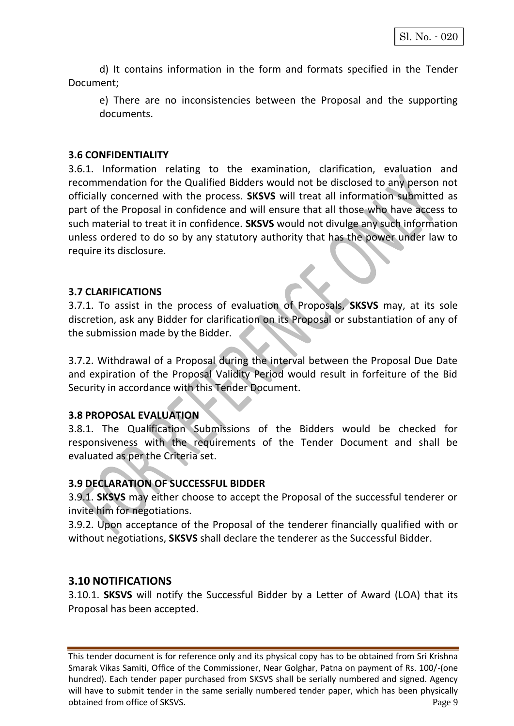d) It contains information in the form and formats specified in the Tender Document;

e) There are no inconsistencies between the Proposal and the supporting documents.

#### **3.6 CONFIDENTIALITY**

3.6.1. Information relating to the examination, clarification, evaluation and recommendation for the Qualified Bidders would not be disclosed to any person not officially concerned with the process. **SKSVS** will treat all information submitted as part of the Proposal in confidence and will ensure that all those who have access to such material to treat it in confidence. **SKSVS** would not divulge any such information unless ordered to do so by any statutory authority that has the power under law to require its disclosure.

## **3.7 CLARIFICATIONS**

3.7.1. To assist in the process of evaluation of Proposals, **SKSVS** may, at its sole discretion, ask any Bidder for clarification on its Proposal or substantiation of any of the submission made by the Bidder.

3.7.2. Withdrawal of a Proposal during the interval between the Proposal Due Date and expiration of the Proposal Validity Period would result in forfeiture of the Bid Security in accordance with this Tender Document.

#### **3.8 PROPOSAL EVALUATION**

3.8.1. The Qualification Submissions of the Bidders would be checked for responsiveness with the requirements of the Tender Document and shall be evaluated as per the Criteria set.

## **3.9 DECLARATION OF SUCCESSFUL BIDDER**

3.9.1. **SKSVS** may either choose to accept the Proposal of the successful tenderer or invite him for negotiations.

3.9.2. Upon acceptance of the Proposal of the tenderer financially qualified with or without negotiations, **SKSVS** shall declare the tenderer as the Successful Bidder.

## **3.10 NOTIFICATIONS**

3.10.1. **SKSVS** will notify the Successful Bidder by a Letter of Award (LOA) that its Proposal has been accepted.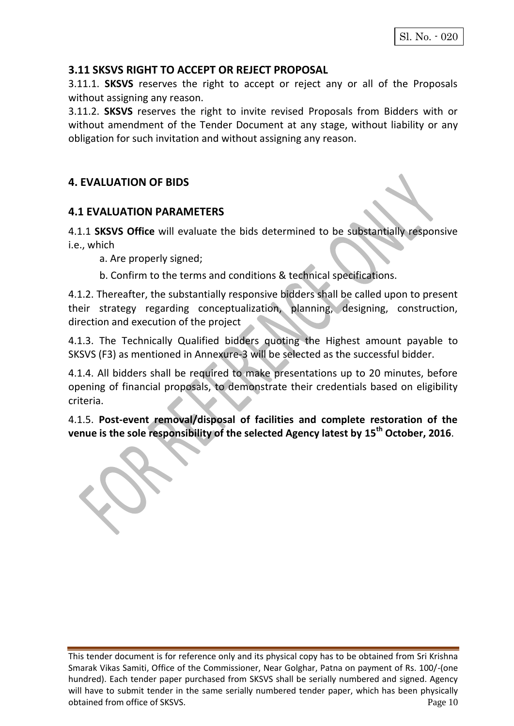## **3.11 SKSVS RIGHT TO ACCEPT OR REJECT PROPOSAL**

3.11.1. **SKSVS** reserves the right to accept or reject any or all of the Proposals without assigning any reason.

3.11.2. **SKSVS** reserves the right to invite revised Proposals from Bidders with or without amendment of the Tender Document at any stage, without liability or any obligation for such invitation and without assigning any reason.

## **4. EVALUATION OF BIDS**

## **4.1 EVALUATION PARAMETERS**

4.1.1 **SKSVS Office** will evaluate the bids determined to be substantially responsive i.e., which

a. Are properly signed;

b. Confirm to the terms and conditions & technical specifications.

4.1.2. Thereafter, the substantially responsive bidders shall be called upon to present their strategy regarding conceptualization, planning, designing, construction, direction and execution of the project

4.1.3. The Technically Qualified bidders quoting the Highest amount payable to SKSVS (F3) as mentioned in Annexure-3 will be selected as the successful bidder.

4.1.4. All bidders shall be required to make presentations up to 20 minutes, before opening of financial proposals, to demonstrate their credentials based on eligibility criteria.

4.1.5. **Post-event removal/disposal of facilities and complete restoration of the venue is the sole responsibility of the selected Agency latest by 15th October, 2016**.

This tender document is for reference only and its physical copy has to be obtained from Sri Krishna Smarak Vikas Samiti, Office of the Commissioner, Near Golghar, Patna on payment of Rs. 100/-(one hundred). Each tender paper purchased from SKSVS shall be serially numbered and signed. Agency will have to submit tender in the same serially numbered tender paper, which has been physically obtained from office of SKSVS. Page 10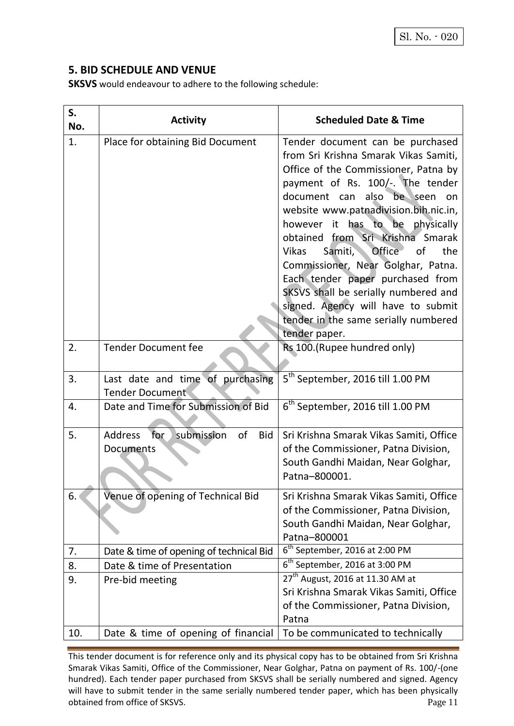## **5. BID SCHEDULE AND VENUE**

**SKSVS** would endeavour to adhere to the following schedule:

| S.<br>No. | <b>Activity</b>                                                      | <b>Scheduled Date &amp; Time</b>                                                                                                                                                                                                                                                                                                                                                                                                                                                                                                                                         |
|-----------|----------------------------------------------------------------------|--------------------------------------------------------------------------------------------------------------------------------------------------------------------------------------------------------------------------------------------------------------------------------------------------------------------------------------------------------------------------------------------------------------------------------------------------------------------------------------------------------------------------------------------------------------------------|
| 1.        | Place for obtaining Bid Document                                     | Tender document can be purchased<br>from Sri Krishna Smarak Vikas Samiti,<br>Office of the Commissioner, Patna by<br>payment of Rs. 100/-. The tender<br>document can also be seen on<br>website www.patnadivision.bih.nic.in,<br>however it has to be physically<br>obtained from Sri Krishna Smarak<br>Office<br>of<br>the<br><b>Vikas</b><br>Samiti,<br>Commissioner, Near Golghar, Patna.<br>Each tender paper purchased from<br>SKSVS shall be serially numbered and<br>signed. Agency will have to submit<br>tender in the same serially numbered<br>tender paper. |
| 2.        | <b>Tender Document fee</b>                                           | Rs 100.(Rupee hundred only)                                                                                                                                                                                                                                                                                                                                                                                                                                                                                                                                              |
| 3.        | Last date and time of purchasing<br><b>Tender Document</b>           | 5 <sup>th</sup> September, 2016 till 1.00 PM                                                                                                                                                                                                                                                                                                                                                                                                                                                                                                                             |
| 4.        | Date and Time for Submission of Bid                                  | 6 <sup>th</sup> September, 2016 till 1.00 PM                                                                                                                                                                                                                                                                                                                                                                                                                                                                                                                             |
| 5.        | for<br>submission<br><b>Address</b><br>of<br><b>Bid</b><br>Documents | Sri Krishna Smarak Vikas Samiti, Office<br>of the Commissioner, Patna Division,<br>South Gandhi Maidan, Near Golghar,<br>Patna-800001.                                                                                                                                                                                                                                                                                                                                                                                                                                   |
| 6.        | Venue of opening of Technical Bid                                    | Sri Krishna Smarak Vikas Samiti, Office<br>of the Commissioner, Patna Division,<br>South Gandhi Maidan, Near Golghar,<br>Patna-800001                                                                                                                                                                                                                                                                                                                                                                                                                                    |
| 7.        | Date & time of opening of technical Bid                              | $6th$ September, 2016 at 2:00 PM                                                                                                                                                                                                                                                                                                                                                                                                                                                                                                                                         |
| 8.        | Date & time of Presentation                                          | $6th$ September, 2016 at 3:00 PM                                                                                                                                                                                                                                                                                                                                                                                                                                                                                                                                         |
| 9.        | Pre-bid meeting                                                      | 27 <sup>th</sup> August, 2016 at 11.30 AM at<br>Sri Krishna Smarak Vikas Samiti, Office<br>of the Commissioner, Patna Division,<br>Patna                                                                                                                                                                                                                                                                                                                                                                                                                                 |
| 10.       | Date & time of opening of financial                                  | To be communicated to technically                                                                                                                                                                                                                                                                                                                                                                                                                                                                                                                                        |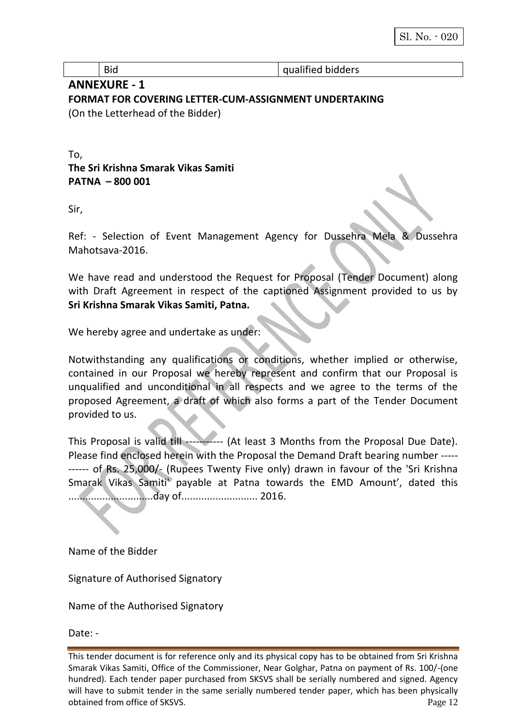Bid and a series of the series of the series of the series of the series of the series of the series of the series of the series of the series of the series of the series of the series of the series of the series of the se

## **ANNEXURE - 1 FORMAT FOR COVERING LETTER-CUM-ASSIGNMENT UNDERTAKING**  (On the Letterhead of the Bidder)

To, **The Sri Krishna Smarak Vikas Samiti PATNA – 800 001** 

Sir,

Ref: - Selection of Event Management Agency for Dussehra Mela & Dussehra Mahotsava-2016.

We have read and understood the Request for Proposal (Tender Document) along with Draft Agreement in respect of the captioned Assignment provided to us by **Sri Krishna Smarak Vikas Samiti, Patna.**

We hereby agree and undertake as under:

Notwithstanding any qualifications or conditions, whether implied or otherwise, contained in our Proposal we hereby represent and confirm that our Proposal is unqualified and unconditional in all respects and we agree to the terms of the proposed Agreement, a draft of which also forms a part of the Tender Document provided to us.

This Proposal is valid till ----------- (At least 3 Months from the Proposal Due Date). Please find enclosed herein with the Proposal the Demand Draft bearing number ----- ------ of Rs. 25,000/- (Rupees Twenty Five only) drawn in favour of the 'Sri Krishna Smarak Vikas Samiti' payable at Patna towards the EMD Amount', dated this ..............................day of........................... 2016.

Name of the Bidder

Signature of Authorised Signatory

Name of the Authorised Signatory

Date: -

This tender document is for reference only and its physical copy has to be obtained from Sri Krishna Smarak Vikas Samiti, Office of the Commissioner, Near Golghar, Patna on payment of Rs. 100/-(one hundred). Each tender paper purchased from SKSVS shall be serially numbered and signed. Agency will have to submit tender in the same serially numbered tender paper, which has been physically obtained from office of SKSVS. Page 12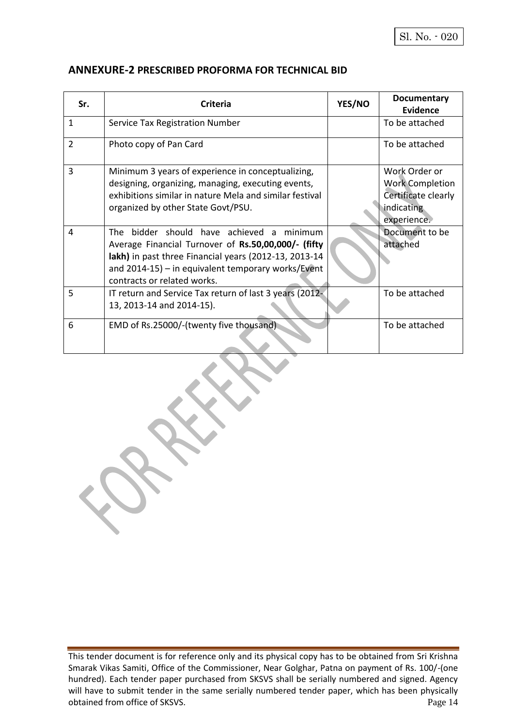#### **ANNEXURE-2 PRESCRIBED PROFORMA FOR TECHNICAL BID**

 $\tilde{\mathbf{X}}$ 

| Sr.            |                                                                                                                                                                                                                                                   | YES/NO | Documentary                                                                                 |
|----------------|---------------------------------------------------------------------------------------------------------------------------------------------------------------------------------------------------------------------------------------------------|--------|---------------------------------------------------------------------------------------------|
|                | <b>Criteria</b>                                                                                                                                                                                                                                   |        | <b>Evidence</b>                                                                             |
| $\mathbf{1}$   | Service Tax Registration Number                                                                                                                                                                                                                   |        | To be attached                                                                              |
| $\overline{2}$ | Photo copy of Pan Card                                                                                                                                                                                                                            |        | To be attached                                                                              |
| 3              | Minimum 3 years of experience in conceptualizing,<br>designing, organizing, managing, executing events,<br>exhibitions similar in nature Mela and similar festival<br>organized by other State Govt/PSU.                                          |        | Work Order or<br><b>Work Completion</b><br>Certificate clearly<br>indicating<br>experience. |
| 4              | The bidder should have achieved a minimum<br>Average Financial Turnover of Rs.50,00,000/- (fifty<br>lakh) in past three Financial years (2012-13, 2013-14<br>and $2014-15$ ) – in equivalent temporary works/Event<br>contracts or related works. |        | Document to be<br>attached                                                                  |
| 5              | IT return and Service Tax return of last 3 years (2012-<br>13, 2013-14 and 2014-15).                                                                                                                                                              |        | To be attached                                                                              |
| 6              | EMD of Rs.25000/-(twenty five thousand).                                                                                                                                                                                                          |        | To be attached                                                                              |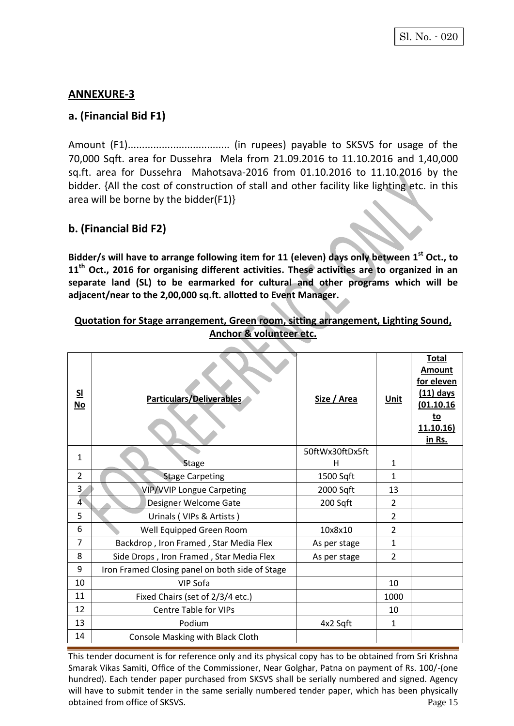## **ANNEXURE-3**

## **a. (Financial Bid F1)**

Amount (F1).................................... (in rupees) payable to SKSVS for usage of the 70,000 Sqft. area for Dussehra Mela from 21.09.2016 to 11.10.2016 and 1,40,000 sq.ft. area for Dussehra Mahotsava-2016 from 01.10.2016 to 11.10.2016 by the bidder. {All the cost of construction of stall and other facility like lighting etc. in this area will be borne by the bidder(F1)}

## **b. (Financial Bid F2)**

**Bidder/s will have to arrange following item for 11 (eleven) days only between 1 st Oct., to 11th Oct., 2016 for organising different activities. These activities are to organized in an separate land (SL) to be earmarked for cultural and other programs which will be adjacent/near to the 2,00,000 sq.ft. allotted to Event Manager.**

#### **Quotation for Stage arrangement, Green room, sitting arrangement, Lighting Sound, Anchor & volunteer etc.**

|                                 |                                                 |                 |                | <b>Total</b>                                                                               |
|---------------------------------|-------------------------------------------------|-----------------|----------------|--------------------------------------------------------------------------------------------|
| $\underline{\mathsf{SL}}$<br>No | Particulars/Deliverables                        | Size / Area     | <b>Unit</b>    | <b>Amount</b><br>for eleven<br>(11) days<br>(01.10.16)<br><u>to</u><br>11.10.16)<br>in Rs. |
| $\mathbf{1}$                    |                                                 | 50ftWx30ftDx5ft |                |                                                                                            |
|                                 | <b>Stage</b>                                    | н               | 1              |                                                                                            |
| $\overline{2}$                  | <b>Stage Carpeting</b>                          | 1500 Sqft       | 1              |                                                                                            |
| $\overline{3}$                  | <b>VIP/VVIP Longue Carpeting</b>                | 2000 Sqft       | 13             |                                                                                            |
| $\overline{4}$                  | Designer Welcome Gate                           | 200 Sqft        | 2              |                                                                                            |
| 5                               | Urinals (VIPs & Artists)                        |                 | 2              |                                                                                            |
| 6                               | Well Equipped Green Room                        | 10x8x10         | 2              |                                                                                            |
| $\overline{7}$                  | Backdrop, Iron Framed, Star Media Flex          | As per stage    | $\mathbf{1}$   |                                                                                            |
| 8                               | Side Drops, Iron Framed, Star Media Flex        | As per stage    | $\overline{2}$ |                                                                                            |
| 9                               | Iron Framed Closing panel on both side of Stage |                 |                |                                                                                            |
| 10                              | VIP Sofa                                        |                 | 10             |                                                                                            |
| 11                              | Fixed Chairs (set of 2/3/4 etc.)                |                 | 1000           |                                                                                            |
| 12                              | <b>Centre Table for VIPs</b>                    |                 | 10             |                                                                                            |
| 13                              | Podium                                          | 4x2 Sqft        | $\mathbf{1}$   |                                                                                            |
| 14                              | Console Masking with Black Cloth                |                 |                |                                                                                            |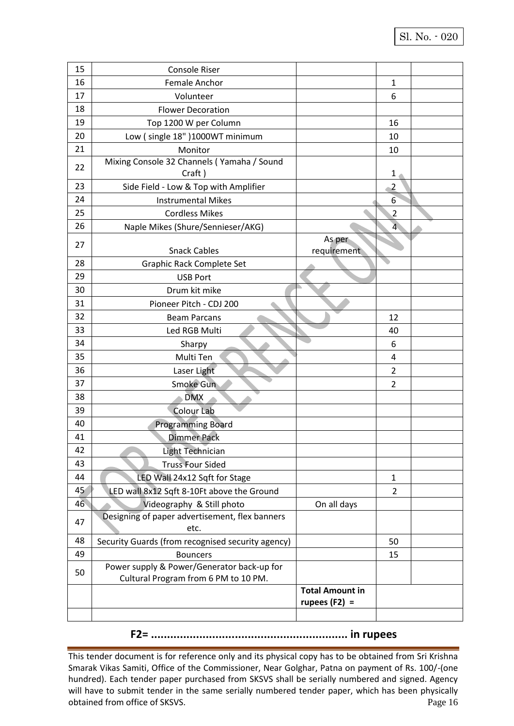| 15 | Console Riser                                                                      |                        |                  |  |
|----|------------------------------------------------------------------------------------|------------------------|------------------|--|
| 16 | <b>Female Anchor</b>                                                               |                        | 1                |  |
| 17 | Volunteer                                                                          |                        | 6                |  |
| 18 | <b>Flower Decoration</b>                                                           |                        |                  |  |
| 19 | Top 1200 W per Column                                                              |                        | 16               |  |
| 20 | Low (single 18")1000WT minimum                                                     |                        | 10               |  |
| 21 | Monitor                                                                            |                        | 10               |  |
| 22 | Mixing Console 32 Channels (Yamaha / Sound                                         |                        |                  |  |
|    | Craft)                                                                             |                        | 1                |  |
| 23 | Side Field - Low & Top with Amplifier                                              |                        | $\overline{2}$   |  |
| 24 | <b>Instrumental Mikes</b>                                                          |                        | $6 \overline{6}$ |  |
| 25 | <b>Cordless Mikes</b>                                                              |                        | $\overline{2}$   |  |
| 26 | Naple Mikes (Shure/Sennieser/AKG)                                                  |                        | $\overline{4}$   |  |
| 27 |                                                                                    | As per                 |                  |  |
|    | <b>Snack Cables</b>                                                                | requirement            |                  |  |
| 28 | Graphic Rack Complete Set                                                          |                        |                  |  |
| 29 | <b>USB Port</b>                                                                    |                        |                  |  |
| 30 | Drum kit mike                                                                      |                        |                  |  |
| 31 | Pioneer Pitch - CDJ 200                                                            |                        |                  |  |
| 32 | <b>Beam Parcans</b>                                                                |                        | 12               |  |
| 33 | Led RGB Multi                                                                      |                        | 40               |  |
| 34 | Sharpy                                                                             |                        | 6                |  |
| 35 | Multi Ten                                                                          |                        | 4                |  |
| 36 | Laser Light                                                                        |                        | 2                |  |
| 37 | Smoke Gun                                                                          |                        | 2                |  |
| 38 | <b>DMX</b>                                                                         |                        |                  |  |
| 39 | <b>Colour Lab</b>                                                                  |                        |                  |  |
| 40 | <b>Programming Board</b>                                                           |                        |                  |  |
| 41 | <b>Dimmer Pack</b>                                                                 |                        |                  |  |
| 42 | Light Technician                                                                   |                        |                  |  |
| 43 | <b>Truss Four Sided</b>                                                            |                        |                  |  |
| 44 | LED Wall 24x12 Sqft for Stage                                                      |                        | $\mathbf{1}$     |  |
| 45 | LED wall 8x12 Sqft 8-10Ft above the Ground                                         |                        | $\overline{2}$   |  |
| 46 | Videography & Still photo                                                          | On all days            |                  |  |
| 47 | Designing of paper advertisement, flex banners                                     |                        |                  |  |
|    | etc.                                                                               |                        |                  |  |
| 48 | Security Guards (from recognised security agency)                                  |                        | 50               |  |
| 49 | <b>Bouncers</b>                                                                    |                        | 15               |  |
| 50 | Power supply & Power/Generator back-up for<br>Cultural Program from 6 PM to 10 PM. |                        |                  |  |
|    |                                                                                    | <b>Total Amount in</b> |                  |  |
|    |                                                                                    | rupees $(F2) =$        |                  |  |
|    |                                                                                    |                        |                  |  |

**F2= ............................................................. in rupees**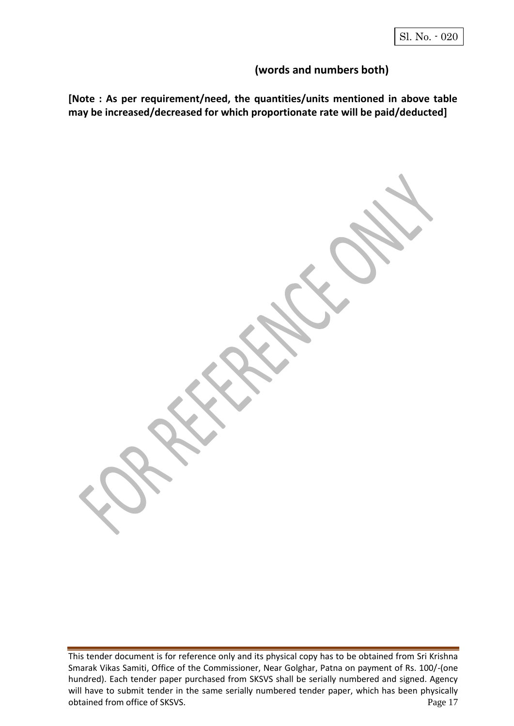## **(words and numbers both)**

**[Note : As per requirement/need, the quantities/units mentioned in above table may be increased/decreased for which proportionate rate will be paid/deducted]**